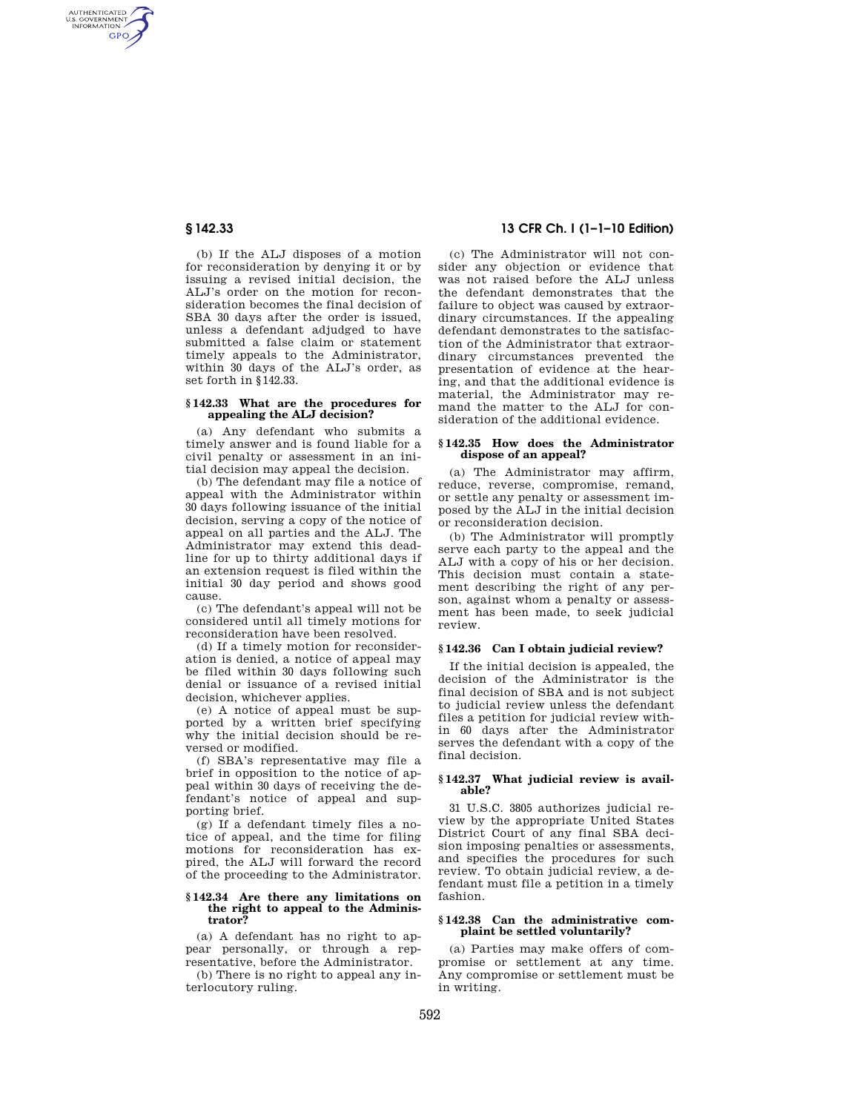AUTHENTICATED<br>U.S. GOVERNMENT<br>INFORMATION **GPO** 

> (b) If the ALJ disposes of a motion for reconsideration by denying it or by issuing a revised initial decision, the ALJ's order on the motion for reconsideration becomes the final decision of SBA 30 days after the order is issued, unless a defendant adjudged to have submitted a false claim or statement timely appeals to the Administrator, within 30 days of the ALJ's order, as set forth in §142.33.

#### **§ 142.33 What are the procedures for appealing the ALJ decision?**

(a) Any defendant who submits a timely answer and is found liable for a civil penalty or assessment in an initial decision may appeal the decision.

(b) The defendant may file a notice of appeal with the Administrator within 30 days following issuance of the initial decision, serving a copy of the notice of appeal on all parties and the ALJ. The Administrator may extend this deadline for up to thirty additional days if an extension request is filed within the initial 30 day period and shows good cause.

(c) The defendant's appeal will not be considered until all timely motions for reconsideration have been resolved.

(d) If a timely motion for reconsideration is denied, a notice of appeal may be filed within 30 days following such denial or issuance of a revised initial decision, whichever applies.

(e) A notice of appeal must be supported by a written brief specifying why the initial decision should be reversed or modified.

(f) SBA's representative may file a brief in opposition to the notice of appeal within 30 days of receiving the defendant's notice of appeal and supporting brief.

(g) If a defendant timely files a notice of appeal, and the time for filing motions for reconsideration has expired, the ALJ will forward the record of the proceeding to the Administrator.

#### **§ 142.34 Are there any limitations on the right to appeal to the Administrator?**

(a) A defendant has no right to appear personally, or through a representative, before the Administrator.

(b) There is no right to appeal any interlocutory ruling.

# **§ 142.33 13 CFR Ch. I (1–1–10 Edition)**

(c) The Administrator will not consider any objection or evidence that was not raised before the ALJ unless the defendant demonstrates that the failure to object was caused by extraordinary circumstances. If the appealing defendant demonstrates to the satisfaction of the Administrator that extraordinary circumstances prevented the presentation of evidence at the hearing, and that the additional evidence is material, the Administrator may remand the matter to the ALJ for consideration of the additional evidence.

#### **§ 142.35 How does the Administrator dispose of an appeal?**

(a) The Administrator may affirm, reduce, reverse, compromise, remand, or settle any penalty or assessment imposed by the ALJ in the initial decision or reconsideration decision.

(b) The Administrator will promptly serve each party to the appeal and the ALJ with a copy of his or her decision. This decision must contain a statement describing the right of any person, against whom a penalty or assessment has been made, to seek judicial review.

## **§ 142.36 Can I obtain judicial review?**

If the initial decision is appealed, the decision of the Administrator is the final decision of SBA and is not subject to judicial review unless the defendant files a petition for judicial review within 60 days after the Administrator serves the defendant with a copy of the final decision.

# **§ 142.37 What judicial review is available?**

31 U.S.C. 3805 authorizes judicial review by the appropriate United States District Court of any final SBA decision imposing penalties or assessments, and specifies the procedures for such review. To obtain judicial review, a defendant must file a petition in a timely fashion.

# **§ 142.38 Can the administrative complaint be settled voluntarily?**

(a) Parties may make offers of compromise or settlement at any time. Any compromise or settlement must be in writing.